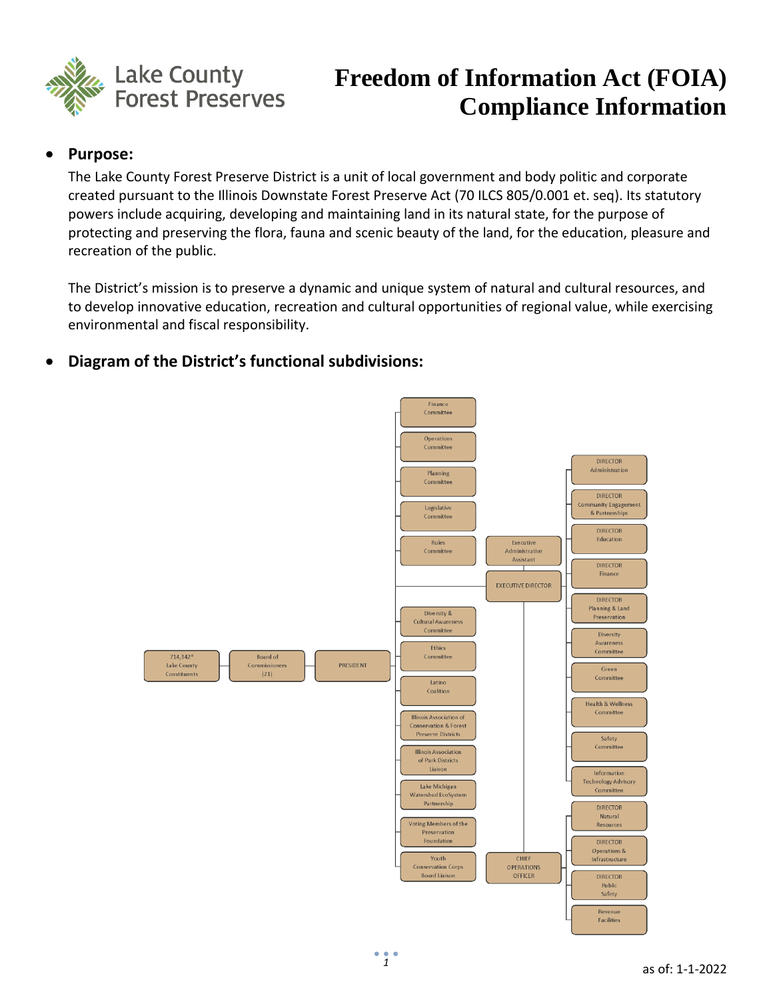

# **Freedom of Information Act (FOIA) Compliance Information**

## • **Purpose:**

The Lake County Forest Preserve District is a unit of local government and body politic and corporate created pursuant to the Illinois Downstate Forest Preserve Act (70 ILCS 805/0.001 et. seq). Its statutory powers include acquiring, developing and maintaining land in its natural state, for the purpose of protecting and preserving the flora, fauna and scenic beauty of the land, for the education, pleasure and recreation of the public.

The District's mission is to preserve a dynamic and unique system of natural and cultural resources, and to develop innovative education, recreation and cultural opportunities of regional value, while exercising environmental and fiscal responsibility.

# • **Diagram of the District's functional subdivisions:**